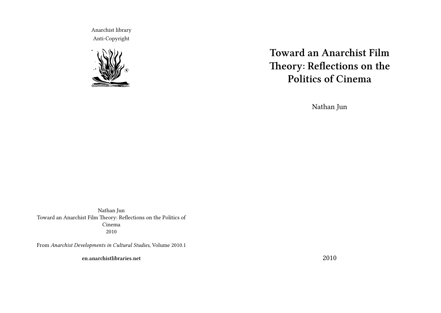Anarchist library Anti-Copyright



# **Toward an Anarchist Film Theory: Reflections on the Politics of Cinema**

Nathan Jun

Nathan Jun Toward an Anarchist Film Theory: Reflections on the Politics of Cinema 2010

From *Anarchist Developments in Cultural Studies*, Volume 2010.1

**en.anarchistlibraries.net**

2010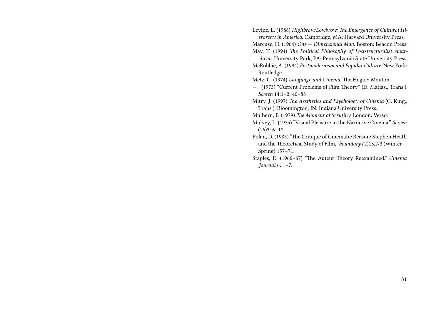- Levine, L. (1988) *Highbrow/Lowbrow: The Emergence of Cultural Hierarchy in America.* Cambridge, MA: Harvard University Press. Marcuse, H. (1964) *One — Dimensional Man.* Boston: Beacon Press. May, T. (1994) *The Political Philosophy of Poststructuralist Anarchism.* University Park, PA: Pennsylvania State University Press.
- McRobbie, A. (1994) *Postmodernism and Popular Culture.* New York: Routledge.

Metz, C. (1974) *Language and Cinema.* The Hague: Mouton.

- . (1973) "Current Problems of Film Theory" (D. Matias., Trans.). *Screen* 14:1–2: 40–88
- Mitry, J. (1997) *The Aesthetics and Psychology of Cinema* (C. King., Trans.). Bloomington, IN: Indiana University Press.
- Mulhern, F. (1979) *The Moment of Scrutiny.* London: Verso.
- Mulvey, L. (1975) "Visual Pleasure in the Narrative Cinema." *Screen*  $(16)3: 6-18.$
- Polan, D. (1985) "The Critique of Cinematic Reason: Stephen Heath and the Theoretical Study of Film," *boundary (*2)13,2/3 (Winter — Spring):157–71.
- Staples, D. (1966–67) "The Auteur Theory Reexamined." *Cinema Journal* 6: 1–7.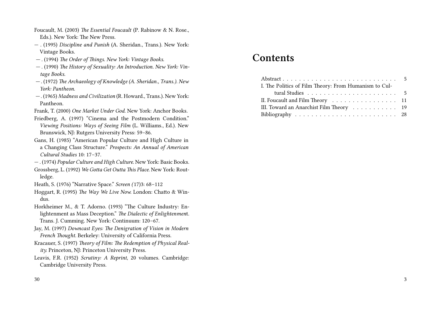- Foucault, M. (2003) *The Essential Foucault* (P. Rabinow & N. Rose., Eds.). New York: The New Press.
- . (1995) *Discipline and Punish* (A. Sheridan., Trans.). New York: Vintage Books.
- *.* (1994) *The Order of Things. New York: Vintage Books.*
- *.* (1990) *The History of Sexuality: An Introduction. New York: Vintage Books.*
- *.* (1972) *The Archaeology of Knowledge (A. Sheridan., Trans.). New York: Pantheon.*
- *.* (1965) *Madness and Civilization* (R. Howard., Trans.). New York: Pantheon.
- Frank, T. (2000) *One Market Under God.* New York: Anchor Books.
- Friedberg, A. (1997) "Cinema and the Postmodern Condition." *Viewing Positions: Ways of Seeing Film* (L. Williams., Ed.). New Brunswick, NJ: Rutgers University Press: 59–86.
- Gans, H. (1985) "American Popular Culture and High Culture in a Changing Class Structure." *Prospects: An Annual of American Cultural Studies* 10: 17–37.
- . (1974) *Popular Culture and High Culture.* New York: Basic Books.
- Grossberg, L. (1992) *We Gotta Get Outta This Place.* New York: Routledge.
- Heath, S. (1976) "Narrative Space." *Screen (*17)3: 68–112
- Hoggart, R. (1995) *The Way We Live Now.* London: Chatto & Windus.
- Horkheimer M., & T. Adorno. (1993) "The Culture Industry: Enlightenment as Mass Deception." *The Dialectic of Enlightenmen*t. Trans. J. Cumming. New York: Continuum: 120–67.
- Jay, M. (1997) *Downcast Eyes: The Denigration of Vision in Modern French Thought.* Berkeley: University of California Press.
- Kracauer, S. (1997) *Theory of Film: The Redemption of Physical Reality.* Princeton, NJ: Princeton University Press.
- Leavis, F.R. (1952) *Scrutiny: A Reprint*, 20 volumes. Cambridge: Cambridge University Press.

# **Contents**

| I. The Politics of Film Theory: From Humanism to Cul-                     |  |
|---------------------------------------------------------------------------|--|
| tural Studies $\ldots \ldots \ldots \ldots \ldots \ldots \ldots \ldots 5$ |  |
| II. Foucault and Film Theory 11                                           |  |
| III. Toward an Anarchist Film Theory 19                                   |  |
|                                                                           |  |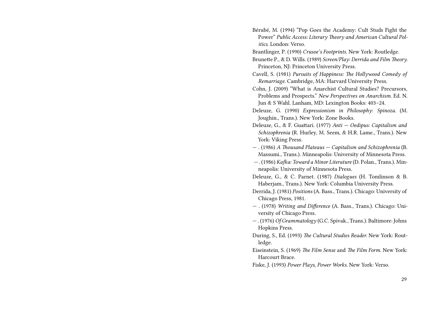- Bérubé, M. (1994) "Pop Goes the Academy: Cult Studs Fight the Power" *Public Access: Literary Theory and American Cultural Politics.* London: Verso.
- Brantlinger, P. (1990) *Crusoe's Footprints.* New York: Routledge.
- Brunette P., & D. Wills. (1989) *Screen/Play: Derrida and Film Theory.* Princeton, NJ: Princeton University Press.
- Cavell, S. (1981) *Pursuits of Happiness: The Hollywood Comedy of Remarriage.* Cambridge, MA: Harvard University Press.
- Cohn, J. (2009) "What is Anarchist Cultural Studies? Precursors, Problems and Prospects." *New Perspectives on Anarchism*. Ed. N. Jun & S Wahl. Lanham, MD: Lexington Books: 403–24.
- Deleuze, G. (1990) *Expressionism in Philosophy*: *Spinoza.* (M. Joughin., Trans.). New York: Zone Books.
- Deleuze, G., & F. Guattari. (1977) *Anti Oedipus: Capitalism and Schizophrenia* (R. Hurley, M. Seem, & H.R. Lame., Trans.). New York: Viking Press.
- . (1986) *A Thousand Plateaus Capitalism and Schizophrenia* (B. Massumi., Trans.). Minneapolis: University of Minnesota Press.
- *.* (1986) *Kafka: Toward a Minor Literature* (D. Polan., Trans.). Minneapolis: University of Minnesota Press.
- Deleuze, G., & C. Parnet. (1987) *Dialogues* (H. Tomlinson & B. Haberjam., Trans.). New York: Columbia University Press.
- Derrida, J. (1981) *Positions* (A. Bass., Trans.). Chicago: University of Chicago Press, 1981.
- . (1978) *Writing and Difference* (A. Bass., Trans.). Chicago: University of Chicago Press.
- . (1976) *Of Grammatology* (G.C. Spivak., Trans.). Baltimore: Johns Hopkins Press.
- During, S., Ed. (1993) *The Cultural Studies Reader.* New York: Routledge.
- Eiseinstein, S. (1969) *The Film Sense* and *The Film Form.* New York: Harcourt Brace.
- Fiske, J. (1993) *Power Plays, Power Works.* New York: Verso.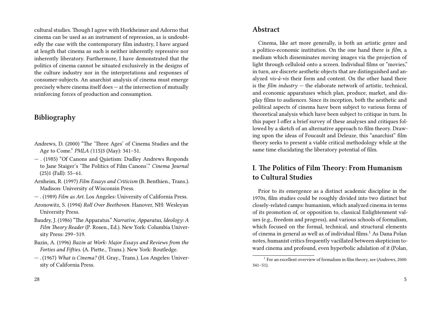cultural studies. Though I agree with Horkheimer and Adorno that cinema can be used as an instrument of repression, as is undoubtedly the case with the contemporary film industry, I have argued at length that cinema as such is neither inherently repressive nor inherently liberatory. Furthermore, I have demonstrated that the politics of cinema cannot be situated exclusively in the designs of the culture industry nor in the interpretations and responses of consumer-subjects. An anarchist analysis of cinema must emerge precisely where cinema itself does — at the intersection of mutually reinforcing forces of production and consumption.

### **Bibliography**

- Andrews, D. (2000) "The 'Three Ages' of Cinema Studies and the Age to Come." *PMLA (*115)3 (May): 341–51.
- . (1985) "Of Canons and Quietism: Dudley Andrews Responds to Jane Staiger's 'The Politics of Film Canons'." *Cinema Journal* (25)1 (Fall): 55–61.
- Arnheim, R. (1997) *Film Essays and Criticism* (B. Benthien., Trans.). Madison: University of Wisconsin Press.
- . (1989) *Film as Art.* Los Angeles: University of California Press.
- Aronowitz, S. (1994) *Roll Over Beethoven.* Hanover, NH: Wesleyan University Press.
- Baudry, J. (1986) "The Apparatus." *Narrative, Apparatus, Ideology: A Film Theory Reader* (P. Rosen., Ed.). New York: Columbia University Press: 299–319.
- Bazin, A. (1996) *Bazin at Work: Major Essays and Reviews from the Forties and Fifties*. (A. Piette., Trans.). New York: Routledge.
- . (1967) *What is Cinema?* (H. Gray., Trans.). Los Angeles: University of California Press.

28

#### **Abstract**

Cinema, like art more generally, is both an artistic genre and a politico-economic institution. On the one hand there is *film*, a medium which disseminates moving images via the projection of light through celluloid onto a screen. Individual films or "movies," in turn, are discrete aesthetic objects that are distinguished and analyzed *vis-à-vis* their form and content. On the other hand there is the  $film$   $industry$  – the elaborate network of artistic, technical, and economic apparatuses which plan, produce, market, and display films to audiences. Since its inception, both the aesthetic and political aspects of cinema have been subject to various forms of theoretical analysis which have been subject to critique in turn. In this paper I offer a brief survey of these analyses and critiques followed by a sketch of an alternative approach to film theory. Drawing upon the ideas of Foucault and Deleuze, this "anarchist" film theory seeks to present a viable critical methodology while at the same time elucidating the liberatory potential of film.

## **I. The Politics of Film Theory: From Humanism to Cultural Studies**

Prior to its emergence as a distinct academic discipline in the 1970s, film studies could be roughly divided into two distinct but closely-related camps: humanism, which analyzed cinema in terms of its promotion of, or opposition to, classical Enlightenment values (e.g., freedom and progress), and various schools of formalism, which focused on the formal, technical, and structural elements of cinema in general as well as of individual films.<sup>1</sup> As Dana Polan notes, humanist critics frequently vacillated between skepticism toward cinema and profound, even hyperbolic adulation of it (Polan,

<sup>&</sup>lt;sup>1</sup> For an excellent overview of formalism in film theory, see (Andrews, 2000: 341–51).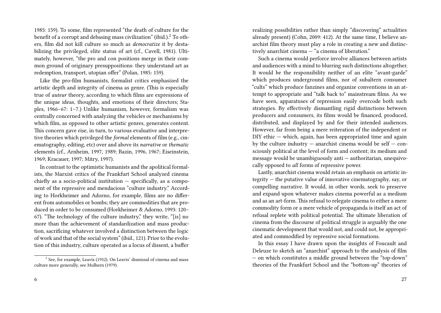1985: 159). To some, film represented "the death of culture for the benefit of a corrupt and debasing mass civilization" (ibid.).<sup>2</sup> To others, film did not kill culture so much as *democratize* it by destabilizing the privileged, elite status of art (cf., Cavell, 1981). Ultimately, however, "the pro and con positions merge in their common ground of originary presuppositions: they understand art as redemption, transport, utopian offer" (Polan, 1985: 159).

Like the pro-film humanists, formalist critics emphasized the artistic depth and integrity of cinema as genre. (This is especially true of *auteur* theory, according to which films are expressions of the unique ideas, thoughts, and emotions of their directors; Staples, 1966–67: 1–7.) Unlike humanism, however, formalism was centrally concerned with analyzing the vehicles or mechanisms by which film, as opposed to other artistic genres, generates content. This concern gave rise, in turn, to various evaluative and interpretive theories which privileged the *formal* elements of film (e.g., cinematography, editing, etc) over and above its *narrative* or *thematic* elements (cf., Arnheim, 1997, 1989; Bazin, 1996, 1967; Eiseinstein, 1969; Kracauer, 1997; Mitry, 1997).

In contrast to the optimistic humanists and the apolitical formalists, the Marxist critics of the Frankfurt School analyzed cinema chiefly as a socio-political institution  $-$  specifically, as a component of the repressive and mendacious "culture industry." According to Horkheimer and Adorno, for example, films are no different from automobiles or bombs; they are commodities that are produced in order to be consumed (Horkheimer & Adorno, 1993: 120– 67). "The technology of the culture industry," they write, "[is] no more than the achievement of standardization and mass production, sacrificing whatever involved a distinction between the logic of work and that of the social system" (ibid., 121). Prior to the evolution of this industry, culture operated as a locus of dissent, a buffer

 $2^{2}$  See, for example, Leavis (1952). On Leavis' dismissal of cinema and mass culture more generally, see Mulhern (1979).

realizing possibilities rather than simply "discovering" actualities already present) (Cohn, 2009: 412). At the same time, I believe anarchist film theory must play a role in creating a new and distinctively anarchist cinema — "a cinema of liberation."

Such a cinema would perforce involve alliances between artists and audiences with a mind to blurring such distinctions altogether. It would be the responsibility neither of an elite "avant-garde" which produces underground films, nor of subaltern consumer "cults" which produce fanzines and organize conventions in an attempt to appropriate and "talk back to" mainstream films. As we have seen, apparatuses of repression easily overcode both such strategies. By effectively dismantling rigid distinctions between producers and consumers, its films would be financed, produced, distributed, and displayed by and for their intended audiences. However, far from being a mere reiteration of the independent or  $D<sub>IV</sub>$  ethic  $-$  which, again, has been appropriated time and again by the culture industry  $-$  anarchist cinema would be self  $-$  consciously political at the level of form and content; its medium and message would be unambiguously anti — authoritarian, unequivocally opposed to *all* forms of repressive power.

Lastly, anarchist cinema would retain an emphasis on artistic integrity — the putative value of innovative cinematography, say, or compelling narrative. It would, in other words, seek to preserve and expand upon whatever makes cinema powerful as a medium and as an art-form. This refusal to relegate cinema to either a mere commodity form or a mere vehicle of propaganda is itself an act of refusal replete with political potential. The ultimate liberation of cinema from the discourse of political struggle is arguably the one cinematic development that would not, and could not, be appropriated and commodified by repressive social formations.

In this essay I have drawn upon the insights of Foucault and Deleuze to sketch an "anarchist" approach to the analysis of film — on which constitutes a middle ground between the "top-down" theories of the Frankfurt School and the "bottom-up" theories of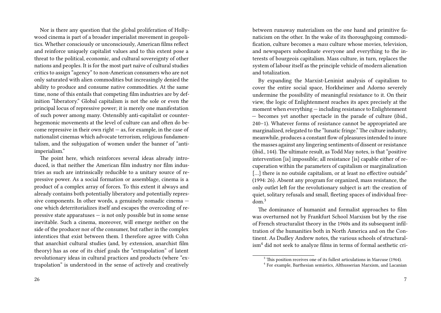Nor is there any question that the global proliferation of Hollywood cinema is part of a broader imperialist movement in geopolitics. Whether consciously or unconsciously, American films reflect and reinforce uniquely capitalist values and to this extent pose a threat to the political, economic, and cultural sovereignty of other nations and peoples. It is for the most part naïve of cultural studies critics to assign "agency" to non-American consumers who are not only saturated with alien commodities but increasingly denied the ability to produce and consume native commodities. At the same time, none of this entails that competing film industries are by definition "liberatory." Global capitalism is not the sole or even the principal locus of repressive power; it is merely one manifestation of such power among many. Ostensibly anti-capitalist or counterhegemonic movements at the level of culture can and often do become repressive in their own right  $-$  as, for example, in the case of nationalist cinemas which advocate terrorism, religious fundamentalism, and the subjugation of women under the banner of "antiimperialism."

The point here, which reinforces several ideas already introduced, is that neither the American film industry nor film industries as such are intrinsically reducible to a unitary source of repressive power. As a social formation or assemblage, cinema is a product of a complex array of forces. To this extent it always and already contains both potentially liberatory and potentially repressive components. In other words, a genuinely nomadic cinema one which deterritorializes itself and escapes the overcoding of repressive state apparatuses  $-$  is not only possible but in some sense inevitable. Such a cinema, moreover, will emerge neither on the side of the producer nor of the consumer, but rather in the complex interstices that exist between them. I therefore agree with Cohn that anarchist cultural studies (and, by extension, anarchist film theory) has as one of its chief goals the "extrapolation" of latent revolutionary ideas in cultural practices and products (where "extrapolation" is understood in the sense of actively and creatively

26

between runaway materialism on the one hand and primitive fanaticism on the other. In the wake of its thoroughgoing commodification, culture becomes a *mass* culture whose movies, television, and newspapers subordinate everyone and everything to the interests of bourgeois capitalism. Mass culture, in turn, replaces the system of labour itself as the principle vehicle of modern alienation and totalization.

By expanding the Marxist-Leninist analysis of capitalism to cover the entire social space, Horkheimer and Adorno severely undermine the possibility of meaningful resistance to it. On their view, the logic of Enlightenment reaches its apex precisely at the moment when everything — including resistance to Enlightenment — becomes yet another spectacle in the parade of culture (ibid., 240–1). Whatever forms of resistance cannot be appropriated are marginalized, relegated to the "lunatic fringe." The culture industry, meanwhile, produces a constant flow of pleasures intended to inure the masses against any lingering sentiments of dissent or resistance (ibid., 144). The ultimate result, as Todd May notes, is that "positive intervention [is] impossible; all resistance [is] capable either of recuperation within the parameters of capitalism or marginalization [...] there is no outside capitalism, or at least no effective outside" (1994: 26). Absent any program for organized, mass resistance, the only outlet left for the revolutionary subject is art: the creation of quiet, solitary refusals and small, fleeting spaces of individual freedom.<sup>3</sup>

The dominance of humanist and formalist approaches to film was overturned not by Frankfurt School Marxism but by the rise of French structuralist theory in the 1960s and its subsequent infiltration of the humanities both in North America and on the Continent. As Dudley Andrew notes, the various schools of structuralism<sup>4</sup> did not seek to analyze films in terms of formal aesthetic cri-

<sup>&</sup>lt;sup>3</sup> This position receives one of its fullest articulations in Marcuse (1964).

<sup>4</sup> For example, Barthesian semiotics, Althusserian Marxism, and Lacanian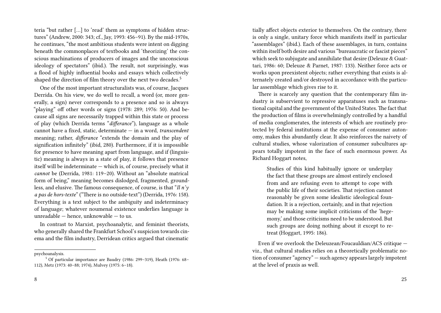teria "but rather […] to 'read' them as symptoms of hidden structures" (Andrew, 2000: 343; cf., Jay, 1993: 456–91). By the mid-1970s, he continues, "the most ambitious students were intent on digging beneath the commonplaces of textbooks and 'theorizing' the conscious machinations of producers of images and the unconscious ideology of spectators" (ibid.). The result, not surprisingly, was a flood of highly influential books and essays which collectively shaped the direction of film theory over the next two decades.<sup>5</sup>

One of the most important structuralists was, of course, Jacques Derrida. On his view, we do well to recall, a word (or, more generally, a sign) never corresponds to a presence and so is always "playing" off other words or signs (1978: 289; 1976: 50). And because all signs are necessarily trapped within this state or process of play (which Derrida terms "*differance*"), language as a whole cannot have a fixed, static, determinate — in a word, *transcendent* meaning; rather, *differance* "extends the domain and the play of signification infinitely" (ibid, 280). Furthermore, if it is impossible for presence to have meaning apart from language, and if (linguistic) meaning is always in a state of play, it follows that presence itself will be indeterminate — which is, of course, precisely what it *cannot* be (Derrida, 1981: 119–20). Without an "absolute matrical form of being," meaning becomes dislodged, fragmented, groundless, and elusive. The famous consequence, of course, is that "*Il n'y a pas de hors-texte*" ("There is no outside-text") (Derrida, 1976: 158). Everything is a text subject to the ambiguity and indeterminacy of language; whatever noumenal existence underlies language is unreadable — hence, unknowable — to us.

In contrast to Marxist, psychoanalytic, and feminist theorists, who generally shared the Frankfurt School's suspicion towards cinema and the film industry, Derridean critics argued that cinematic

tially affect objects exterior to themselves. On the contrary, there is only a single, unitary force which manifests itself in particular "assemblages" (ibid.). Each of these assemblages, in turn, contains within itself both desire and various "bureaucratic or fascist pieces" which seek to subjugate and annihilate that desire (Deleuze & Guattari, 1986: 60; Deleuze & Parnet, 1987: 133). Neither force acts or works upon preexistent objects; rather everything that exists is alternately created and/or destroyed in accordance with the particular assemblage which gives rise to it.

There is scarcely any question that the contemporary film industry is subservient to repressive apparatuses such as transnational capital and the government of the United States. The fact that the production of films is overwhelmingly controlled by a handful of media conglomerates, the interests of which are routinely protected by federal institutions at the expense of consumer autonomy, makes this abundantly clear. It also reinforces the naivety of cultural studies, whose valorization of consumer subcultures appears totally impotent in the face of such enormous power. As Richard Hoggart notes,

Studies of this kind habitually ignore or underplay the fact that these groups are almost entirely enclosed from and are refusing even to attempt to cope with the public life of their societies. That rejection cannot reasonably be given some idealistic ideological foundation. It is a rejection, certainly, and in that rejection may be making some implicit criticisms of the 'hegemony,' and those criticisms need to be understood. But such groups are doing nothing about it except to retreat (Hoggart, 1995: 186).

Even if we overlook the Deleuzean/Foucauldian/ACS critique viz., that cultural studies relies on a theoretically problematic notion of consumer "agency" — such agency appears largely impotent at the level of praxis as well.

psychoanalysis.

<sup>5</sup> Of particular importance are Baudry (1986: 299–319), Heath (1976: 68– 112), Metz (1973: 40–88; 1974), Mulvey (1975: 6–18).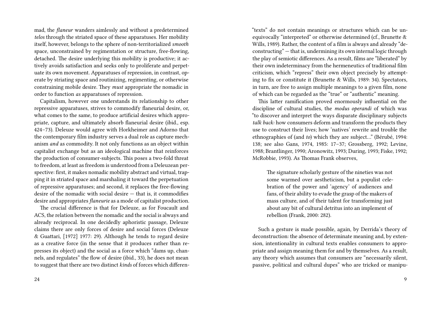mad, the *flaneur* wanders aimlessly and without a predetermined *telos* through the striated space of these apparatuses. Her mobility itself, however, belongs to the sphere of non-territorialized *smooth* space, unconstrained by regimentation or structure, free-flowing, detached. The desire underlying this mobility is productive; it actively avoids satisfaction and seeks only to proliferate and perpetuate its own movement. Apparatuses of repression, in contrast, operate by striating space and routinizing, regimenting, or otherwise constraining mobile desire. They *must* appropriate the nomadic in order to function *as* apparatuses of repression.

Capitalism, however one understands its relationship to other repressive apparatuses, strives to commodify flaneurial desire, or, what comes to the same, to produce artificial desires which appropriate, capture, and ultimately absorb flaneurial desire (ibid., esp. 424–73). Deleuze would agree with Horkheimer and Adorno that the contemporary film industry serves a dual role as capture mechanism *and* as commodity. It not only functions as an object within capitalist exchange but as an ideological machine that reinforces the production of consumer-subjects. This poses a two-fold threat to freedom, at least as freedom is understood from a Deleuzean perspective: first, it makes nomadic mobility abstract and virtual, trapping it in striated space and marshaling it toward the perpetuation of repressive apparatuses; and second, it replaces the free-flowing desire of the nomadic with social desire — that is, it commodifies desire and appropriates *flaneurie* as a mode of capitalist production.

The crucial difference is that for Deleuze, as for Foucault and ACS, the relation between the nomadic and the social is always and already reciprocal. In one decidedly aphoristic passage, Deleuze claims there are only forces of desire and social forces (Deleuze & Guattari, [1972] 1977: 29). Although he tends to regard desire as a creative force (in the sense that it produces rather than represses its object) and the social as a force which "dams up, channels, and regulates" the flow of desire (ibid., 33), he does not mean to suggest that there are two distinct *kinds* of forces which differen"texts" do not contain meanings or structures which can be unequivocally "interpreted" or otherwise determined (cf., Brunette & Wills, 1989). Rather, the content of a film is always and already "deconstructing" — that is, undermining its own internal logic through the play of semiotic differences. As a result, films are "liberated" by their own indeterminacy from the hermeneutics of traditional film criticism, which "repress" their own object precisely by attempting to fix or constitute it (Brunette & Wills, 1989: 34). Spectators, in turn, are free to assign multiple meanings to a given film, none of which can be regarded as the "true" or "authentic" meaning.

This latter ramification proved enormously influential on the discipline of cultural studies, the *modus operandi* of which was "to discover and interpret the ways disparate disciplinary subjects *talk back:* how consumers deform and transform the products they use to construct their lives; how 'natives' rewrite and trouble the ethnographies of (and *to*) which they are subject…" (Bérubé, 1994: 138; see also Gans, 1974, 1985: 17–37; Grossberg, 1992; Levine, 1988; Brantlinger, 1990; Aronowitz, 1993; During, 1993; Fiske, 1992; McRobbie, 1993). As Thomas Frank observes,

The signature scholarly gesture of the nineties was not some warmed over aestheticism, but a populist celebration of the power and 'agency' of audiences and fans, of their ability to evade the grasp of the makers of mass culture, and of their talent for transforming just about any bit of cultural detritus into an implement of rebellion (Frank, 2000: 282).

Such a gesture is made possible, again, by Derrida's theory of deconstruction: the absence of determinate meaning and, by extension, intentionality in cultural texts enables consumers to appropriate and assign meaning them for and by themselves. As a result, any theory which assumes that consumers are "necessarily silent, passive, political and cultural dupes" who are tricked or manipu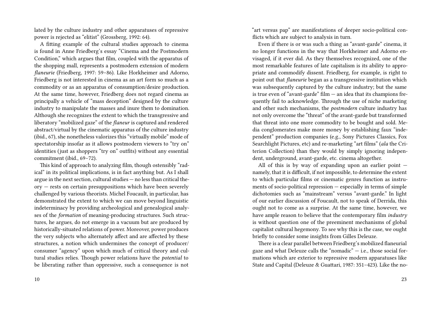lated by the culture industry and other apparatuses of repressive power is rejected as "elitist" (Grossberg, 1992: 64).

A fitting example of the cultural studies approach to cinema is found in Anne Friedberg's essay "Cinema and the Postmodern Condition," which argues that film, coupled with the apparatus of the shopping mall, represents a postmodern extension of modern *flaneurie* (Friedberg, 1997: 59–86). Like Horkheimer and Adorno, Friedberg is not interested in cinema as an art form so much as a commodity or as an apparatus of consumption/desire production. At the same time, however, Friedberg does not regard cinema as principally a vehicle of "mass deception" designed by the culture industry to manipulate the masses and inure them to domination. Although she recognizes the extent to which the transgressive and liberatory "mobilized gaze" of the *flaneur* is captured and rendered abstract/virtual by the cinematic apparatus of the culture industry (ibid., 67), she nonetheless valorizes this "virtually mobile" mode of spectatorship insofar as it allows postmodern viewers to "try on" identities (just as shoppers "try on" outfits) without any essential commitment (ibid., 69–72).

This kind of approach to analyzing film, though ostensibly "radical" in its political implications, is in fact anything but. As I shall argue in the next section, cultural studies — no less than critical the $ory - rests$  on certain presuppositions which have been severely challenged by various theorists. Michel Foucault, in particular, has demonstrated the extent to which we can move beyond linguistic indeterminacy by providing archeological and genealogical analyses of the *formation* of meaning-producing structures. Such structures, he argues, do not emerge in a vacuum but are produced by historically-situated relations of power. Moreover, power produces the very subjects who alternately affect and are affected by these structures, a notion which undermines the concept of producer/ consumer "agency" upon which much of critical theory and cultural studies relies. Though power relations have the *potential* to be liberating rather than oppressive, such a consequence is not "art versus pap" are manifestations of deeper socio-political conflicts which are subject to analysis in turn.

Even if there is or was such a thing as "avant-garde" cinema, it no longer functions in the way that Horkheimer and Adorno envisaged, if it ever did. As they themselves recognized, one of the most remarkable features of late capitalism is its ability to appropriate and commodify dissent. Friedberg, for example, is right to point out that *flaneurie* began as a transgressive institution which was subsequently captured by the culture industry; but the same is true even of "avant-garde" film  $-$  an idea that its champions frequently fail to acknowledge. Through the use of niche marketing and other such mechanisms, the *postmodern* culture industry has not only overcome the "threat" of the avant-garde but transformed that threat into one more commodity to be bought and sold. Media conglomerates make more money by establishing faux "independent" production companies (e.g., Sony Pictures Classics, Fox Searchlight Pictures, etc) and re-marketing "art films" (*ala* the Criterion Collection) than they would by simply ignoring independent, underground, avant-garde, etc. cinema altogether.

All of this is by way of expanding upon an earlier point  $$ namely, that it is difficult, if not impossible, to determine the extent to which particular films or cinematic genres function as instruments of socio-political repression — especially in terms of simple dichotomies such as "mainstream" versus "avant-garde." In light of our earlier discussion of Foucault, not to speak of Derrida, this ought not to come as a surprise. At the same time, however, we have ample reason to believe that the contemporary film *industry* is without question one of the preeminent mechanisms of global capitalist cultural hegemony. To see why this is the case, we ought briefly to consider some insights from Gilles Deleuze.

There is a clear parallel between Friedberg's mobilized flaneurial gaze and what Deleuze calls the "nomadic" — i.e., those social formations which are exterior to repressive modern apparatuses like State and Capital (Deleuze & Guattari, 1987: 351–423). Like the no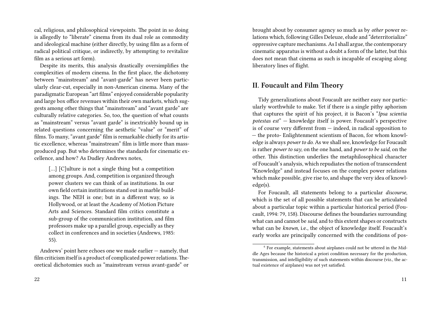cal, religious, and philosophical viewpoints. The point in so doing is allegedly to "liberate" cinema from its dual role as commodity and ideological machine (either directly, by using film as a form of radical political critique, or indirectly, by attempting to revitalize film as a serious art form).

Despite its merits, this analysis drastically oversimplifies the complexities of modern cinema. In the first place, the dichotomy between "mainstream" and "avant-garde" has never been particularly clear-cut, especially in non-American cinema. Many of the paradigmatic European "art films" enjoyed considerable popularity and large box office revenues within their own markets, which suggests among other things that "mainstream" and "avant garde" are culturally relative categories. So, too, the question of what counts as "mainstream" versus "avant garde" is inextricably bound up in related questions concerning the aesthetic "value" or "merit" of films. To many, "avant garde" film is remarkable chiefly for its artistic excellence, whereas "mainstream" film is little more than massproduced pap. But who determines the standards for cinematic excellence, and how? As Dudley Andrews notes,

[...] [C]ulture is not a single thing but a competition among groups. And, competition is organized through power clusters we can think of as institutions. In our own field certain institutions stand out in marble buildings. The NEH is one; but in a different way, so is Hollywood, or at least the Academy of Motion Picture Arts and Sciences. Standard film critics constitute a sub-group of the communication institution, and film professors make up a parallel group, especially as they collect in conferences and in societies (Andrews, 1985: 55).

brought about by consumer agency so much as by *other* power relations which, following Gilles Deleuze, elude and "deterritorialize" oppressive capture mechanisms. As I shall argue, the contemporary cinematic apparatus is without a doubt a form of the latter, but this does not mean that cinema as such is incapable of escaping along liberatory lines of flight.

#### **II. Foucault and Film Theory**

Tidy generalizations about Foucault are neither easy nor particularly worthwhile to make. Yet if there is a single pithy aphorism that captures the spirit of his project, it is Bacon's "*Ipsa scientia potestas est*" — knowledge itself is power. Foucault's perspective is of course very different from — indeed, in radical opposition to — the proto- Enlightenment scientism of Bacon, for whom knowledge is always *power to do*. As we shall see, knowledge for Foucault is rather *power to say*, on the one hand, and *power to be said*, on the other. This distinction underlies the metaphilosophical character of Foucault's analysis, which repudiates the notion of transcendent "Knowledge" and instead focuses on the complex power relations which make possible, give rise to, and shape the very idea of knowledge(s).

For Foucault, all statements belong to a particular *discourse*, which is the set of all possible statements that can be articulated about a particular topic within a particular historical period (Foucault, 1994: 79, 158). Discourse defines the boundaries surrounding what can and cannot be *said*, and to this extent shapes or constructs what can be *known*, i.e., the object of knowledge itself. Foucault's early works are principally concerned with the conditions of pos-

Andrews' point here echoes one we made earlier — namely, that film criticism itself is a product of complicated power relations.Theoretical dichotomies such as "mainstream versus avant-garde" or

<sup>&</sup>lt;sup>6</sup> For example, statements about airplanes could not be uttered in the Middle Ages because the historical a priori condition necessary for the production, transmission, and intelligibility of such statements within discourse (viz., the actual existence of airplanes) was not yet satisfied.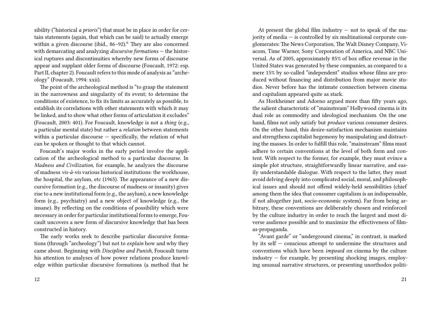sibility ("historical *a prioris*") that must be in place in order for certain statements (again, that which can be said) to actually emerge within a given discourse (ibid.,  $86-92$ ).<sup>6</sup> They are also concerned with demarcating and analyzing *discursive formations* — the historical ruptures and discontinuities whereby new forms of discourse appear and supplant older forms of discourse (Foucault, 1972: esp. Part II, chapter 2). Foucault refers to this mode of analysis as "archeology" (Foucault, 1994: xxii).

The point of the archeological method is "to grasp the statement in the narrowness and singularity of its event; to determine the conditions of existence, to fix its limits as accurately as possible, to establish its correlations with other statements with which it may be linked, and to show what other forms of articulation it excludes" (Foucault, 2003: 401). For Foucault, knowledge is not a *thing* (e.g., a particular mental state) but rather a *relation* between statements within a particular discourse – specifically, the relation of what can be spoken or thought to that which cannot.

Foucault's major works in the early period involve the application of the archeological method to a particular discourse. In *Madness and Civilization*, for example, he analyzes the discourse of madness *vis-à-vis* various historical institutions: the workhouse, the hospital, the asylum, etc (1965). The appearance of a new discursive formation (e.g., the discourse of madness or insanity) gives rise to a new institutional form (e.g., the asylum), a new knowledge form (e.g., psychiatry) and a new object of knowledge (e.g., the insane). By reflecting on the conditions of possibility which were necessary in order for particular institutional forms to emerge, Foucault uncovers a new form of discursive knowledge that has been constructed in history.

The early works seek to describe particular discursive formations (through "archeology") but not to *explain* how and why they came about. Beginning with *Discipline and Punish*, Foucault turns his attention to analyses of how power relations produce knowledge within particular discursive formations (a method that he

At present the global film industry — not to speak of the majority of media — is controlled by six multinational corporate conglomerates: The News Corporation, The Walt Disney Company, Viacom, Time Warner, Sony Corporation of America, and NBC Universal. As of 2005, approximately 85% of box office revenue in the United States was generated by these companies, as compared to a mere 15% by so-called "independent" studios whose films are produced without financing and distribution from major movie studios. Never before has the intimate connection between cinema and capitalism appeared quite as stark.

As Horkheimer and Adorno argued more than fifty years ago, the salient characteristic of "mainstream" Hollywood cinema is its dual role as commodity and ideological mechanism. On the one hand, films not only satisfy but *produce* various consumer desires. On the other hand, this desire-satisfaction mechanism maintains and strengthens capitalist hegemony by manipulating and distracting the masses. In order to fulfill this role, "mainstream" films must adhere to certain conventions at the level of both form and content. With respect to the former, for example, they must evince a simple plot structure, straightforwardly linear narrative, and easily understandable dialogue. With respect to the latter, they must avoid delving deeply into complicated social, moral, and philosophical issues and should not offend widely-held sensibilities (chief among them the idea that consumer capitalism is an indispensable, if not altogether just, socio-economic system). Far from being arbitrary, these conventions are deliberately chosen and reinforced by the culture industry in order to reach the largest and most diverse audience possible and to maximize the effectiveness of filmas-propaganda.

"Avant garde" or "underground cinema," in contrast, is marked by its self — conscious attempt to undermine the structures and conventions which have been *imposed* on cinema by the culture  $industry - for example, by presenting shocking images, employ$ ing unusual narrative structures, or presenting unorthodox politi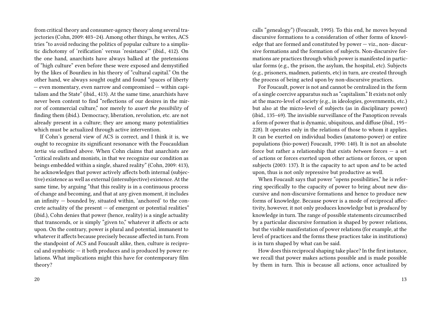from critical theory and consumer-agency theory along several trajectories (Cohn, 2009: 403–24). Among other things, he writes, ACS tries "to avoid reducing the politics of popular culture to a simplistic dichotomy of 'reification' versus 'resistance'" (ibid., 412). On the one hand, anarchists have always balked at the pretensions of "high culture" even before these were exposed and demystified by the likes of Bourdieu in his theory of "cultural capital." On the other hand, we always sought ought and found "spaces of liberty — even momentary, even narrow and compromised — within capitalism and the State" (ibid., 413). At the same time, anarchists have never been content to find "reflections of our desires in the mirror of commercial culture," nor merely to *assert the possibility* of finding them (ibid.). Democracy, liberation, revolution, etc. are not already present in a culture; they are among many potentialities which must be actualized through active intervention.

If Cohn's general view of ACS is correct, and I think it is, we ought to recognize its significant resonance with the Foucauldian *tertia via* outlined above. When Cohn claims that anarchists are "critical realists and monists, in that we recognize our condition as beings embedded within a single, shared reality" (Cohn, 2009: 413), he acknowledges that power actively affects both internal (subjective) existence as well as external (intersubjective) existence. At the same time, by arguing "that this reality is in a continuous process of change and becoming, and that at any given moment, it includes an infinity — bounded by, situated within, 'anchored' to the concrete actuality of the present — of emergent or potential realities" (ibid.), Cohn denies that power (hence, reality) is a single actuality that transcends, or is simply "given to," whatever it affects or acts upon. On the contrary, power is plural and potential, immanent to whatever it affects because precisely because affected in turn. From the standpoint of ACS and Foucault alike, then, culture is reciprocal and symbiotic — it both produces and is produced by power relations. What implications might this have for contemporary film theory?

calls "genealogy") (Foucault, 1995). To this end, he moves beyond discursive formations to a consideration of other forms of knowledge that are formed and constituted by power  $-$  viz., non-discursive formations and the formation of subjects. Non-discursive formations are practices through which power is manifested in particular forms (e.g., the prison, the asylum, the hospital, etc). Subjects (e.g., prisoners, madmen, patients, etc) in turn, are created through the process of being acted upon by non-discursive practices.

For Foucault, power is not and cannot be centralized in the form of a single coercive apparatus such as "capitalism." It exists not only at the macro-level of society (e.g., in ideologies, governments, etc.) but also at the micro-level of subjects (as in disciplinary power) (ibid., 135–69). The invisible surveillance of the Panopticon reveals a form of power that is dynamic, ubiquitous, and diffuse (ibid., 195– 228). It operates only in the relations of those to whom it applies. It can be exerted on individual bodies (anatomo-power) or entire populations (bio-power) Foucault, 1990: 140). It is not an absolute force but rather a relationship that exists *between* forces — a set of actions or forces exerted upon other actions or forces, or upon subjects (2003: 137). It is the capacity to act upon *and* to be acted upon, thus is not only repressive but productive as well.

When Foucault says that power "opens possibilities," he is referring specifically to the capacity of power to bring about new discursive and non-discursive formations and hence to produce new forms of knowledge. Because power is a mode of reciprocal affectivity, however, it not only produces knowledge but is *produced* by knowledge in turn. The range of possible statements circumscribed by a particular discursive formation is shaped by power relations, but the visible manifestation of power relations (for example, at the level of practices and the forms these practices take in institutions) is in turn shaped by what can be said.

How does this reciprocal shaping take place? In the first instance, we recall that power makes actions possible and is made possible by them in turn. This is because all actions, once actualized by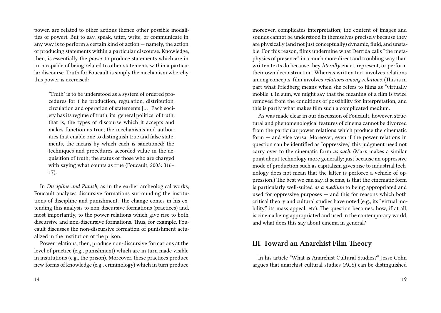power, are related to other actions (hence other possible modalities of power). But to say, speak, utter, write, or communicate in any way is to perform a certain kind of action — namely, the action of producing statements within a particular discourse. Knowledge, then, is essentially the *power* to produce statements which are in turn capable of being related to other statements within a particular discourse. Truth for Foucault is simply the mechanism whereby this power is exercised:

'Truth' is to be understood as a system of ordered procedures for t he production, regulation, distribution, circulation and operation of statements […] Each society has its regime of truth, its 'general politics' of truth: that is, the types of discourse which it accepts and makes function as true; the mechanisms and authorities that enable one to distinguish true and false statements, the means by which each is sanctioned; the techniques and procedures accorded value in the acquisition of truth; the status of those who are charged with saying what counts as true (Foucault, 2003: 316– 17).

In *Discipline and Punish,* as in the earlier archeological works, Foucault analyzes discursive formations surrounding the institutions of discipline and punishment. The change comes in his extending this analysis to non-discursive formations (practices) and, most importantly, to the power relations which give rise to both discursive and non-discursive formations. Thus, for example, Foucault discusses the non-discursive formation of punishment actualized in the institution of the prison.

Power relations, then, produce non-discursive formations at the level of practice (e.g., punishment) which are in turn made visible in institutions (e.g., the prison). Moreover, these practices produce new forms of knowledge (e.g., criminology) which in turn produce moreover, complicates interpretation; the content of images and sounds cannot be understood in themselves precisely because they are physically (and not just conceptually) dynamic, fluid, and unstable. For this reason, films undermine what Derrida calls "the metaphysics of presence" in a much more direct and troubling way than written texts do because they *literally* enact, represent, or perform their own deconstruction. Whereas written text involves relations among concepts, film involves *relations among relations*. (This is in part what Friedberg means when she refers to films as "virtually mobile"). In sum, we might say that the meaning of a film is twice removed from the conditions of possibility for interpretation, and this is partly what makes film such a complicated medium.

As was made clear in our discussion of Foucault, however, structural and phenomenological features of cinema cannot be divorced from the particular power relations which produce the cinematic form — and vice versa. Moreover, even if the power relations in question can be identified as "oppressive," this judgment need not carry over to the cinematic form *as such*. (Marx makes a similar point about technology more generally; just because an oppressive mode of production such as capitalism gives rise to industrial technology does not mean that the latter is perforce a vehicle of oppression.) The best we can say, it seems, is that the cinematic form is particularly well-suited *as a medium* to being appropriated and used for oppressive purposes — and this for reasons which both critical theory and cultural studies have noted (e.g., its "virtual mobility," its mass appeal, etc). The question becomes: how, if at all, is cinema being appropriated and used in the contemporary world, and what does this say about cinema in general?

#### **III. Toward an Anarchist Film Theory**

In his article "What is Anarchist Cultural Studies?" Jesse Cohn argues that anarchist cultural studies (ACS) can be distinguished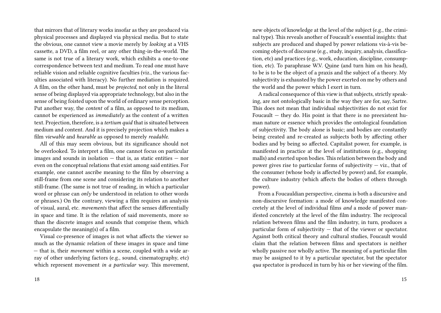that mirrors that of literary works insofar as they are produced via physical processes and displayed via physical media. But to state the obvious, one cannot view a movie merely by *looking* at a VHS cassette, a DVD, a film reel, or any other thing-in-the-world. The same is not true of a literary work, which exhibits a one-to-one correspondence between text and medium. To read one must have reliable vision and reliable cognitive faculties (viz., the various faculties associated with literacy). No further mediation is required. A film, on the other hand, must be *projected*, not only in the literal sense of being displayed via appropriate technology, but also in the sense of being foisted upon the world of ordinary sense perception. Put another way, the *content* of a film, as opposed to its medium, cannot be experienced as *immediately* as the content of a written text. Projection, therefore, is a *tertium quid* that is situated between medium and content. And it is precisely projection which makes a film *viewable* and *hearable* as opposed to merely *readable*.

All of this may seem obvious, but its significance should not be overlooked. To interpret a film, one cannot focus on particular images and sounds in isolation  $-$  that is, as static entities  $-$  nor even on the conceptual relations that exist among said entities. For example, one cannot ascribe meaning to the film by observing a still-frame from one scene and considering its relation to another still-frame. (The same is not true of reading, in which a particular word or phrase can *only* be understood in relation to other words or phrases.) On the contrary, viewing a film requires an analysis of visual, aural, etc. *movements* that affect the senses differentially in space and time. It is the relation of said movements, more so than the discrete images and sounds that comprise them, which encapsulate the meaning(s) of a film.

Visual co-presence of images is not what affects the viewer so much as the dynamic relation of these images in space and time — that is, their *movement* within a scene, coupled with a wide array of other underlying factors (e.g., sound, cinematography, etc) which represent movement *in a particular way*. This movement, new objects of knowledge at the level of the subject (e.g., the criminal type). This reveals another of Foucault's essential insights: that subjects are produced and shaped by power relations vis-à-vis becoming objects of discourse (e.g., study, inquiry, analysis, classification, etc) and practices (e.g., work, education, discipline, consumption, etc). To paraphrase W.V. Quine (and turn him on his head), to be is to be the object of a praxis and the subject of a theory. My subjectivity is exhausted by the power exerted on me by others and the world and the power which I exert in turn.

A radical consequence of this view is that subjects, strictly speaking, are not ontologically basic in the way they are for, say, Sartre. This does not mean that individual subjectivities do not exist for Foucault  $-$  they do. His point is that there is no preexistent human nature or essence which provides the ontological foundation of subjectivity. The body alone is basic; and bodies are constantly being created and re-created as subjects both by affecting other bodies and by being so affected. Capitalist power, for example, is manifested in practice at the level of institutions (e.g., shopping malls) and exerted upon bodies. This relation between the body and power gives rise to particular forms of subjectivity  $-$  viz., that of the consumer (whose body is affected by power) and, for example, the culture industry (which affects the bodies of others through power).

From a Foucauldian perspective, cinema is both a discursive and non-discursive formation: a mode of knowledge manifested concretely at the level of individual films *and* a mode of power manifested concretely at the level of the film industry. The reciprocal relation between films and the film industry, in turn, produces a particular form of subjectivity  $-$  that of the viewer or spectator. Against both critical theory and cultural studies, Foucault would claim that the relation between films and spectators is neither wholly passive nor wholly active. The meaning of a particular film may be assigned to it by a particular spectator, but the spectator *qua* spectator is produced in turn by his or her viewing of the film.